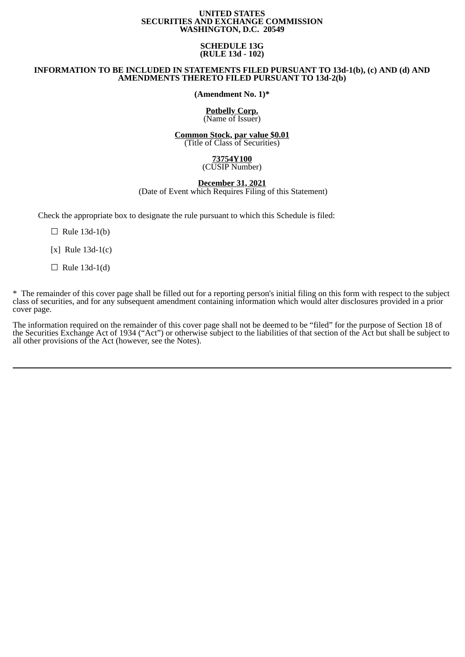#### **UNITED STATES SECURITIES AND EXCHANGE COMMISSION WASHINGTON, D.C. 20549**

#### **SCHEDULE 13G (RULE 13d - 102)**

### **INFORMATION TO BE INCLUDED IN STATEMENTS FILED PURSUANT TO 13d-1(b), (c) AND (d) AND AMENDMENTS THERETO FILED PURSUANT TO 13d-2(b)**

**(Amendment No. 1)\***

#### **Potbelly Corp.** (Name of Issuer)

# **Common Stock, par value \$0.01**

(Title of Class of Securities)

#### **73754Y100** (CUSIP Number)

#### **December 31, 2021** (Date of Event which Requires Filing of this Statement)

Check the appropriate box to designate the rule pursuant to which this Schedule is filed:

 $\Box$  Rule 13d-1(b)

[x] Rule 13d-1(c)

 $\Box$  Rule 13d-1(d)

\* The remainder of this cover page shall be filled out for a reporting person's initial filing on this form with respect to the subject class of securities, and for any subsequent amendment containing information which would alter disclosures provided in a prior cover page.

The information required on the remainder of this cover page shall not be deemed to be "filed" for the purpose of Section 18 of the Securities Exchange Act of 1934 ("Act") or otherwise subject to the liabilities of that section of the Act but shall be subject to all other provisions of the Act (however, see the Notes).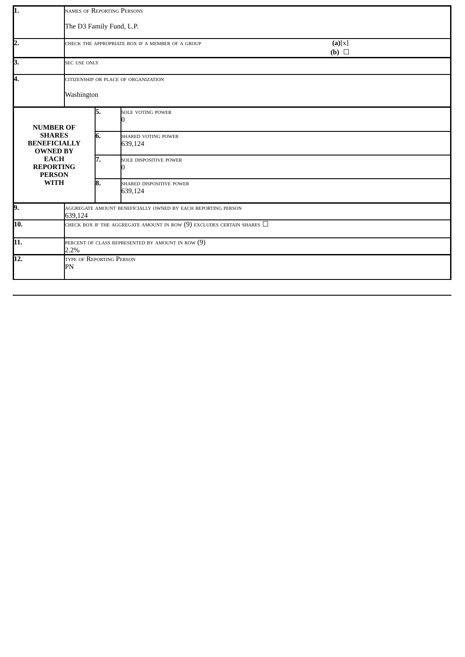| 1.                |                                                                                                             |                                                                             | NAMES OF REPORTING PERSONS                       |                      |  |  |  |  |  |
|-------------------|-------------------------------------------------------------------------------------------------------------|-----------------------------------------------------------------------------|--------------------------------------------------|----------------------|--|--|--|--|--|
|                   |                                                                                                             | The D3 Family Fund, L.P.                                                    |                                                  |                      |  |  |  |  |  |
| $\overline{2}$ .  |                                                                                                             |                                                                             | CHECK THE APPROPRIATE BOX IF A MEMBER OF A GROUP | (a)[x]<br>(b) $\Box$ |  |  |  |  |  |
| 3.                | <b>SEC USE ONLY</b>                                                                                         |                                                                             |                                                  |                      |  |  |  |  |  |
| 4.                |                                                                                                             |                                                                             | CITIZENSHIP OR PLACE OF ORGANIZATION             |                      |  |  |  |  |  |
|                   | Washington                                                                                                  |                                                                             |                                                  |                      |  |  |  |  |  |
| <b>NUMBER OF</b>  |                                                                                                             | 5.                                                                          | <b>SOLE VOTING POWER</b><br>n                    |                      |  |  |  |  |  |
|                   | <b>SHARES</b><br><b>BENEFICIALLY</b><br><b>OWNED BY</b><br><b>EACH</b><br><b>REPORTING</b><br><b>PERSON</b> |                                                                             | <b>SHARED VOTING POWER</b><br>639,124            |                      |  |  |  |  |  |
|                   |                                                                                                             |                                                                             | <b>SOLE DISPOSITIVE POWER</b><br>0               |                      |  |  |  |  |  |
|                   | <b>WITH</b>                                                                                                 | 8.                                                                          | SHARED DISPOSITIVE POWER<br>639,124              |                      |  |  |  |  |  |
| 9.                |                                                                                                             | AGGREGATE AMOUNT BENEFICIALLY OWNED BY EACH REPORTING PERSON<br>639,124     |                                                  |                      |  |  |  |  |  |
| 10.               |                                                                                                             | check box if the aggregate amount in row (9) excludes certain shares $\Box$ |                                                  |                      |  |  |  |  |  |
| 11.               | 2.2%                                                                                                        | PERCENT OF CLASS REPRESENTED BY AMOUNT IN ROW $(9)$                         |                                                  |                      |  |  |  |  |  |
| $\overline{12}$ . | TYPE OF REPORTING PERSON<br>PN                                                                              |                                                                             |                                                  |                      |  |  |  |  |  |

 $\overline{\phantom{0}}$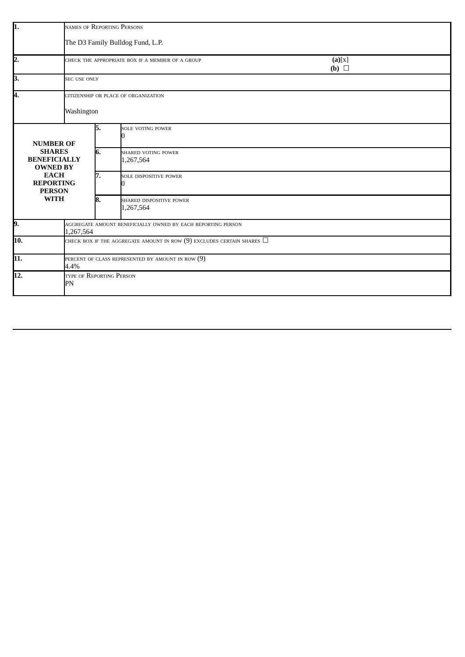| 1.                                                      | NAMES OF REPORTING PERSONS                                                  |    |                                                  |                      |  |  |  |  |
|---------------------------------------------------------|-----------------------------------------------------------------------------|----|--------------------------------------------------|----------------------|--|--|--|--|
|                                                         | The D3 Family Bulldog Fund, L.P.                                            |    |                                                  |                      |  |  |  |  |
| 2.                                                      |                                                                             |    | CHECK THE APPROPRIATE BOX IF A MEMBER OF A GROUP | (a)[x]<br>(b) $\Box$ |  |  |  |  |
| 3.                                                      | <b>SEC USE ONLY</b>                                                         |    |                                                  |                      |  |  |  |  |
| 4.                                                      |                                                                             |    | CITIZENSHIP OR PLACE OF ORGANIZATION             |                      |  |  |  |  |
|                                                         | Washington                                                                  |    |                                                  |                      |  |  |  |  |
| <b>NUMBER OF</b>                                        |                                                                             | 5. | SOLE VOTING POWER                                |                      |  |  |  |  |
| <b>SHARES</b><br><b>BENEFICIALLY</b><br><b>OWNED BY</b> |                                                                             | 6. | <b>SHARED VOTING POWER</b><br>1,267,564          |                      |  |  |  |  |
| <b>EACH</b><br><b>REPORTING</b><br><b>PERSON</b>        |                                                                             | 7. | SOLE DISPOSITIVE POWER                           |                      |  |  |  |  |
| <b>WITH</b>                                             |                                                                             | 8. | SHARED DISPOSITIVE POWER<br>1,267,564            |                      |  |  |  |  |
| 9.                                                      | AGGREGATE AMOUNT BENEFICIALLY OWNED BY EACH REPORTING PERSON<br>1,267,564   |    |                                                  |                      |  |  |  |  |
| 10.                                                     | check box if the aggregate amount in row (9) excludes certain shares $\Box$ |    |                                                  |                      |  |  |  |  |
| 11.                                                     | PERCENT OF CLASS REPRESENTED BY AMOUNT IN ROW (9)<br>4.4%                   |    |                                                  |                      |  |  |  |  |
| 12.                                                     | TYPE OF REPORTING PERSON<br>PN                                              |    |                                                  |                      |  |  |  |  |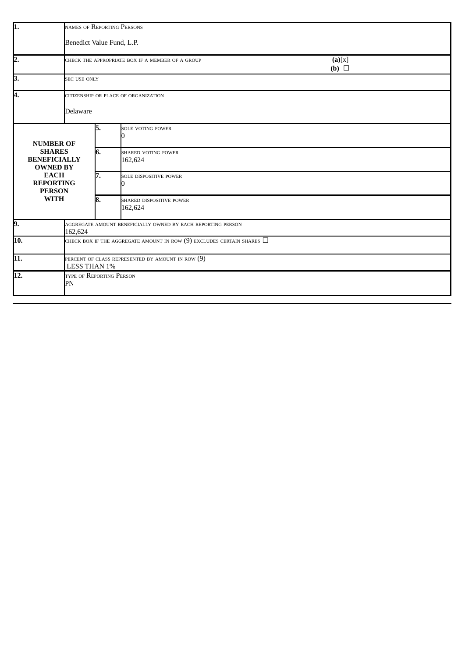| 1.                                                      | NAMES OF REPORTING PERSONS                                                  |     |                                                  |                      |  |  |  |  |
|---------------------------------------------------------|-----------------------------------------------------------------------------|-----|--------------------------------------------------|----------------------|--|--|--|--|
|                                                         | Benedict Value Fund, L.P.                                                   |     |                                                  |                      |  |  |  |  |
| $\overline{2}$ .                                        |                                                                             |     | CHECK THE APPROPRIATE BOX IF A MEMBER OF A GROUP | (a)[x]<br>(b) $\Box$ |  |  |  |  |
| 3.                                                      | <b>SEC USE ONLY</b>                                                         |     |                                                  |                      |  |  |  |  |
| Ā.                                                      | CITIZENSHIP OR PLACE OF ORGANIZATION                                        |     |                                                  |                      |  |  |  |  |
|                                                         | Delaware                                                                    |     |                                                  |                      |  |  |  |  |
| <b>NUMBER OF</b>                                        |                                                                             | 5.  | SOLE VOTING POWER                                |                      |  |  |  |  |
| <b>SHARES</b><br><b>BENEFICIALLY</b><br><b>OWNED BY</b> |                                                                             | 6.  | SHARED VOTING POWER<br>162,624                   |                      |  |  |  |  |
| <b>EACH</b><br><b>REPORTING</b><br><b>PERSON</b>        | 7.                                                                          |     | SOLE DISPOSITIVE POWER                           |                      |  |  |  |  |
| <b>WITH</b>                                             |                                                                             | 18. | SHARED DISPOSITIVE POWER<br>162,624              |                      |  |  |  |  |
| 9.                                                      | AGGREGATE AMOUNT BENEFICIALLY OWNED BY EACH REPORTING PERSON<br>162,624     |     |                                                  |                      |  |  |  |  |
| $\overline{10}$ .                                       | check box if the aggregate amount in row (9) excludes certain shares $\Box$ |     |                                                  |                      |  |  |  |  |
| 11.                                                     | PERCENT OF CLASS REPRESENTED BY AMOUNT IN ROW (9)<br>LESS THAN 1%           |     |                                                  |                      |  |  |  |  |
| $\overline{12}$ .                                       | TYPE OF REPORTING PERSON<br>PN                                              |     |                                                  |                      |  |  |  |  |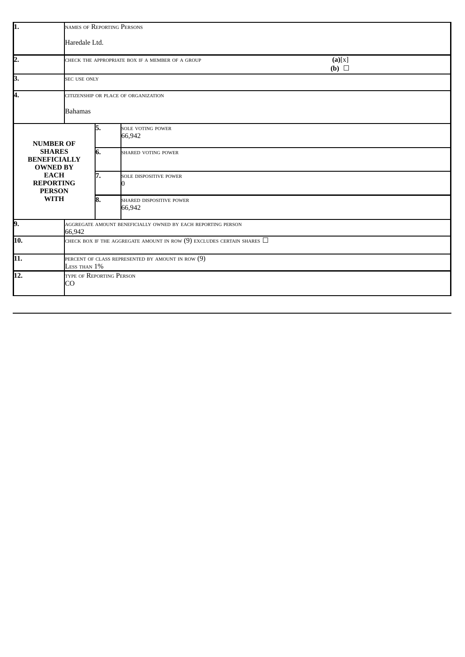| 1.                                                      | NAMES OF REPORTING PERSONS                                                  |                     |                                                  |                      |  |  |  |  |
|---------------------------------------------------------|-----------------------------------------------------------------------------|---------------------|--------------------------------------------------|----------------------|--|--|--|--|
|                                                         | Haredale Ltd.                                                               |                     |                                                  |                      |  |  |  |  |
| 2.                                                      |                                                                             |                     | CHECK THE APPROPRIATE BOX IF A MEMBER OF A GROUP | (a)[x]<br>(b) $\Box$ |  |  |  |  |
| 3.                                                      |                                                                             | <b>SEC USE ONLY</b> |                                                  |                      |  |  |  |  |
| Ā.                                                      | CITIZENSHIP OR PLACE OF ORGANIZATION                                        |                     |                                                  |                      |  |  |  |  |
|                                                         | <b>Bahamas</b>                                                              |                     |                                                  |                      |  |  |  |  |
| <b>NUMBER OF</b>                                        |                                                                             | 5.                  | SOLE VOTING POWER<br>66,942                      |                      |  |  |  |  |
| <b>SHARES</b><br><b>BENEFICIALLY</b><br><b>OWNED BY</b> |                                                                             | 6.                  | <b>SHARED VOTING POWER</b>                       |                      |  |  |  |  |
| <b>EACH</b><br><b>REPORTING</b><br><b>PERSON</b>        | 7.                                                                          |                     | SOLE DISPOSITIVE POWER                           |                      |  |  |  |  |
| <b>WITH</b>                                             |                                                                             | 8.                  | SHARED DISPOSITIVE POWER<br>66,942               |                      |  |  |  |  |
| 9.                                                      | AGGREGATE AMOUNT BENEFICIALLY OWNED BY EACH REPORTING PERSON<br>66,942      |                     |                                                  |                      |  |  |  |  |
| $\overline{10.}$                                        | check box if the aggregate amount in row (9) excludes certain shares $\Box$ |                     |                                                  |                      |  |  |  |  |
| $\overline{11.}$                                        | PERCENT OF CLASS REPRESENTED BY AMOUNT IN ROW (9)<br>Less than $1\%$        |                     |                                                  |                      |  |  |  |  |
| 12.<br>TYPE OF REPORTING PERSON<br>CO                   |                                                                             |                     |                                                  |                      |  |  |  |  |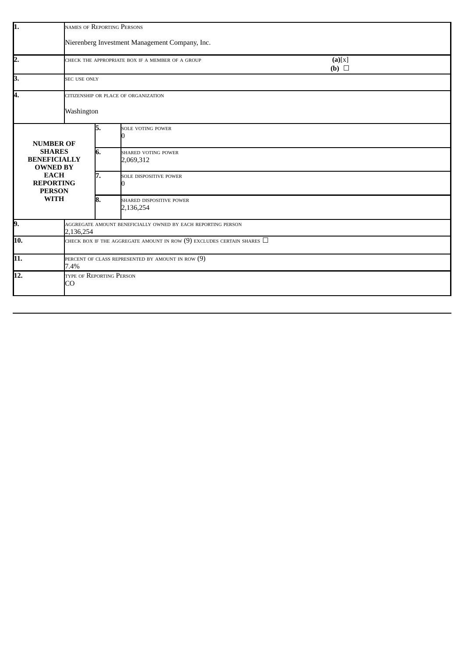| lı.                                                     | NAMES OF REPORTING PERSONS                                                    |     |                                                  |                      |  |  |  |
|---------------------------------------------------------|-------------------------------------------------------------------------------|-----|--------------------------------------------------|----------------------|--|--|--|
|                                                         | Nierenberg Investment Management Company, Inc.                                |     |                                                  |                      |  |  |  |
| 2.                                                      |                                                                               |     | CHECK THE APPROPRIATE BOX IF A MEMBER OF A GROUP | (a)[x]<br>(b) $\Box$ |  |  |  |
| 3.                                                      | <b>SEC USE ONLY</b>                                                           |     |                                                  |                      |  |  |  |
| 4.                                                      | CITIZENSHIP OR PLACE OF ORGANIZATION                                          |     |                                                  |                      |  |  |  |
|                                                         | Washington                                                                    |     |                                                  |                      |  |  |  |
| <b>NUMBER OF</b>                                        |                                                                               | 5.  | SOLE VOTING POWER                                |                      |  |  |  |
| <b>SHARES</b><br><b>BENEFICIALLY</b><br><b>OWNED BY</b> |                                                                               | 6.  | SHARED VOTING POWER<br>2,069,312                 |                      |  |  |  |
| <b>EACH</b><br><b>REPORTING</b><br><b>PERSON</b>        |                                                                               | 17. | SOLE DISPOSITIVE POWER                           |                      |  |  |  |
| <b>WITH</b>                                             |                                                                               | 18. | SHARED DISPOSITIVE POWER<br>2,136,254            |                      |  |  |  |
| 9.                                                      | AGGREGATE AMOUNT BENEFICIALLY OWNED BY EACH REPORTING PERSON<br>2,136,254     |     |                                                  |                      |  |  |  |
| 10.                                                     | CHECK BOX IF THE AGGREGATE AMOUNT IN ROW $(9)$ excludes certain shares $\Box$ |     |                                                  |                      |  |  |  |
| 11.                                                     | PERCENT OF CLASS REPRESENTED BY AMOUNT IN ROW $(9)$<br>7.4%                   |     |                                                  |                      |  |  |  |
| $\overline{12}$ .                                       | TYPE OF REPORTING PERSON<br>CO                                                |     |                                                  |                      |  |  |  |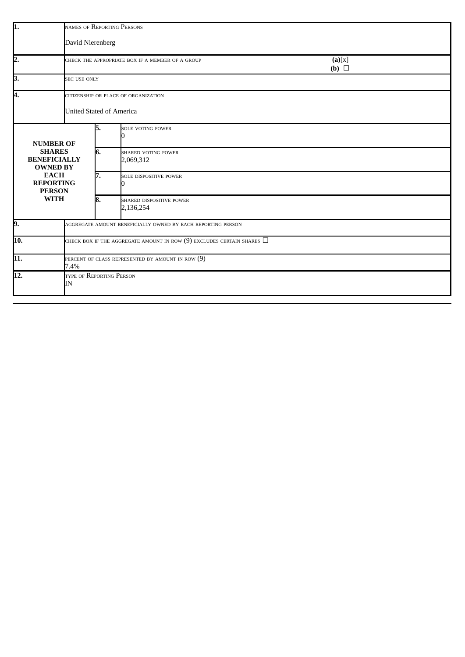| 1.                                                      | NAMES OF REPORTING PERSONS                                   |                                      |                                                                             |                      |  |  |  |  |
|---------------------------------------------------------|--------------------------------------------------------------|--------------------------------------|-----------------------------------------------------------------------------|----------------------|--|--|--|--|
|                                                         | David Nierenberg                                             |                                      |                                                                             |                      |  |  |  |  |
| 2.                                                      |                                                              |                                      | CHECK THE APPROPRIATE BOX IF A MEMBER OF A GROUP                            | (a)[x]<br>(b) $\Box$ |  |  |  |  |
| 3.                                                      | <b>SEC USE ONLY</b>                                          |                                      |                                                                             |                      |  |  |  |  |
| Ā.                                                      |                                                              | CITIZENSHIP OR PLACE OF ORGANIZATION |                                                                             |                      |  |  |  |  |
|                                                         |                                                              | <b>United Stated of America</b>      |                                                                             |                      |  |  |  |  |
| <b>NUMBER OF</b>                                        |                                                              | 5.                                   | SOLE VOTING POWER                                                           |                      |  |  |  |  |
| <b>SHARES</b><br><b>BENEFICIALLY</b><br><b>OWNED BY</b> |                                                              | 6.                                   | SHARED VOTING POWER<br>2,069,312                                            |                      |  |  |  |  |
| <b>EACH</b><br><b>REPORTING</b><br><b>PERSON</b>        |                                                              | 17.                                  | SOLE DISPOSITIVE POWER                                                      |                      |  |  |  |  |
| <b>WITH</b>                                             |                                                              | 8.                                   | SHARED DISPOSITIVE POWER<br>2,136,254                                       |                      |  |  |  |  |
| 9.                                                      | AGGREGATE AMOUNT BENEFICIALLY OWNED BY EACH REPORTING PERSON |                                      |                                                                             |                      |  |  |  |  |
| $\overline{10}$ .                                       |                                                              |                                      | check box if the aggregate amount in row (9) excludes certain shares $\Box$ |                      |  |  |  |  |
| 11.                                                     | 7.4%                                                         |                                      | PERCENT OF CLASS REPRESENTED BY AMOUNT IN ROW $(9)$                         |                      |  |  |  |  |
| $\overline{12.}$                                        | TYPE OF REPORTING PERSON<br>IΝ                               |                                      |                                                                             |                      |  |  |  |  |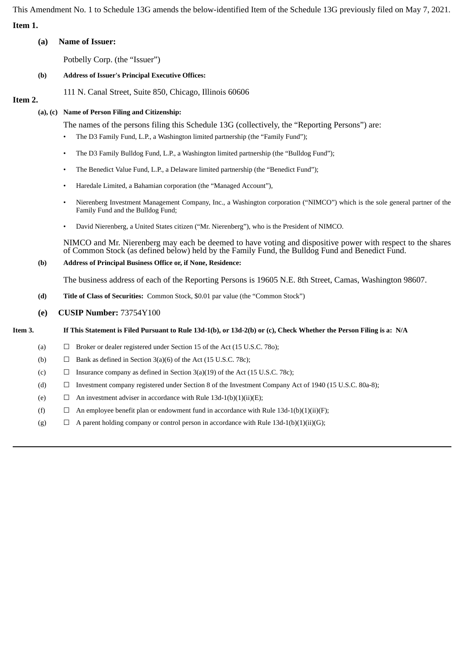This Amendment No. 1 to Schedule 13G amends the below-identified Item of the Schedule 13G previously filed on May 7, 2021. **Item 1.**

### **(a) Name of Issuer:**

Potbelly Corp. (the "Issuer")

### **(b) Address of Issuer's Principal Executive Offices:**

111 N. Canal Street, Suite 850, Chicago, Illinois 60606

## **Item 2.**

### **(a), (c) Name of Person Filing and Citizenship:**

The names of the persons filing this Schedule 13G (collectively, the "Reporting Persons") are:

- The D3 Family Fund, L.P., a Washington limited partnership (the "Family Fund");
- The D3 Family Bulldog Fund, L.P., a Washington limited partnership (the "Bulldog Fund");
- The Benedict Value Fund, L.P., a Delaware limited partnership (the "Benedict Fund");
- Haredale Limited, a Bahamian corporation (the "Managed Account"),
- Nierenberg Investment Management Company, Inc., a Washington corporation ("NIMCO") which is the sole general partner of the Family Fund and the Bulldog Fund;
- David Nierenberg, a United States citizen ("Mr. Nierenberg"), who is the President of NIMCO.

NIMCO and Mr. Nierenberg may each be deemed to have voting and dispositive power with respect to the shares of Common Stock (as defined below) held by the Family Fund, the Bulldog Fund and Benedict Fund.

### **(b) Address of Principal Business Office or, if None, Residence:**

The business address of each of the Reporting Persons is 19605 N.E. 8th Street, Camas, Washington 98607.

**(d) Title of Class of Securities:** Common Stock, \$0.01 par value (the "Common Stock")

### **(e) CUSIP Number:** 73754Y100

### Item 3. If This Statement is Filed Pursuant to Rule 13d-1(b), or 13d-2(b) or (c), Check Whether the Person Filing is a: N/A

- (a)  $\Box$  Broker or dealer registered under Section 15 of the Act (15 U.S.C. 780);
- (b)  $\Box$  Bank as defined in Section 3(a)(6) of the Act (15 U.S.C. 78c);
- (c)  $\Box$  Insurance company as defined in Section 3(a)(19) of the Act (15 U.S.C. 78c);
- (d) ☐ Investment company registered under Section 8 of the Investment Company Act of 1940 (15 U.S.C. 80a-8);
- (e)  $\Box$  An investment adviser in accordance with Rule 13d-1(b)(1)(ii)(E);
- (f)  $\Box$  An employee benefit plan or endowment fund in accordance with Rule 13d-1(b)(1)(ii)(F);
- (g)  $\Box$  A parent holding company or control person in accordance with Rule 13d-1(b)(1)(ii)(G);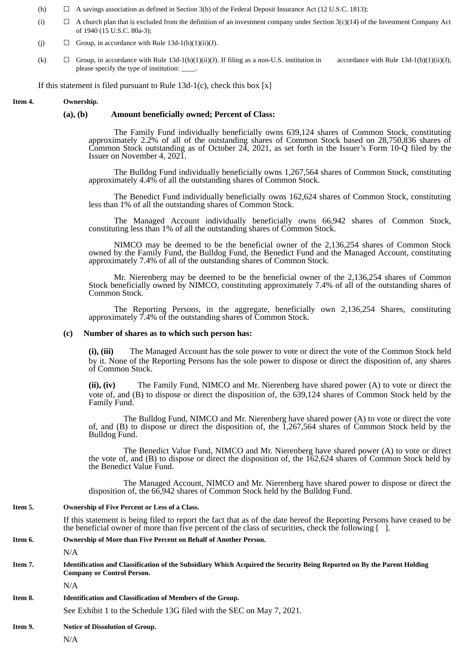- (h)  $\Box$  A savings association as defined in Section 3(b) of the Federal Deposit Insurance Act (12 U.S.C. 1813);
- (i)  $\Box$  A church plan that is excluded from the definition of an investment company under Section 3(c)(14) of the Investment Company Act of 1940 (15 U.S.C. 80a-3);
- (j)  $\Box$  Group, in accordance with Rule 13d-1(b)(1)(ii)(J).
- (k)  $\Box$  Group, in accordance with Rule 13d-1(b)(1)(ii)(J). If filing as a non-U.S. institution in accordance with Rule 13d-1(b)(1)(ii)(J), please specify the type of institution:

If this statement is filed pursuant to Rule  $13d-1(c)$ , check this box [x]

#### **Item 4. Ownership.**

#### **(a), (b) Amount beneficially owned; Percent of Class:**

The Family Fund individually beneficially owns 639,124 shares of Common Stock, constituting approximately 2.2% of all of the outstanding shares of Common Stock based on 28,750,836 shares of Common Stock outstanding as of October 24, 2021, as set forth in the Issuer's Form 10-Q filed by the Issuer on November 4, 2021.

The Bulldog Fund individually beneficially owns 1,267,564 shares of Common Stock, constituting approximately 4.4% of all the outstanding shares of Common Stock.

The Benedict Fund individually beneficially owns 162,624 shares of Common Stock, constituting less than 1% of all the outstanding shares of Common Stock.

The Managed Account individually beneficially owns 66,942 shares of Common Stock, constituting less than 1% of all the outstanding shares of Common Stock.

NIMCO may be deemed to be the beneficial owner of the 2,136,254 shares of Common Stock owned by the Family Fund, the Bulldog Fund, the Benedict Fund and the Managed Account, constituting approximately 7.4% of all of the outstanding shares of Common Stock.

Mr. Nierenberg may be deemed to be the beneficial owner of the 2,136,254 shares of Common Stock beneficially owned by NIMCO, constituting approximately 7.4% of all of the outstanding shares of Common Stock.

The Reporting Persons, in the aggregate, beneficially own 2,136,254 Shares, constituting approximately 7.4% of the outstanding shares of Common Stock.

#### **(c) Number of shares as to which such person has:**

**(i), (iii)** The Managed Account has the sole power to vote or direct the vote of the Common Stock held by it. None of the Reporting Persons has the sole power to dispose or direct the disposition of, any shares of Common Stock.

**(ii), (iv)** The Family Fund, NIMCO and Mr. Nierenberg have shared power (A) to vote or direct the vote of, and (B) to dispose or direct the disposition of, the 639,124 shares of Common Stock held by the Family Fund.

The Bulldog Fund, NIMCO and Mr. Nierenberg have shared power (A) to vote or direct the vote of, and (B) to dispose or direct the disposition of, the 1,267,564 shares of Common Stock held by the Bulldog Fund.

The Benedict Value Fund, NIMCO and Mr. Nierenberg have shared power (A) to vote or direct the vote of, and (B) to dispose or direct the disposition of, the 162,624 shares of Common Stock held by the Benedict Value Fund.

The Managed Account, NIMCO and Mr. Nierenberg have shared power to dispose or direct the disposition of, the 66,942 shares of Common Stock held by the Bulldog Fund.

#### **Item 5. Ownership of Five Percent or Less of a Class.**

If this statement is being filed to report the fact that as of the date hereof the Reporting Persons have ceased to be the beneficial owner of more than five percent of the class of securities, check the following [ ].

# **Item 6. Ownership of More than Five Percent on Behalf of Another Person.** N/A Item 7. Identification and Classification of the Subsidiary Which Acquired the Security Being Reported on By the Parent Holding **Company or Control Person.**

N/A

### **Item 8. Identification and Classification of Members of the Group.**

See Exhibit 1 to the Schedule 13G filed with the SEC on May 7, 2021.

### **Item 9. Notice of Dissolution of Group.**

N/A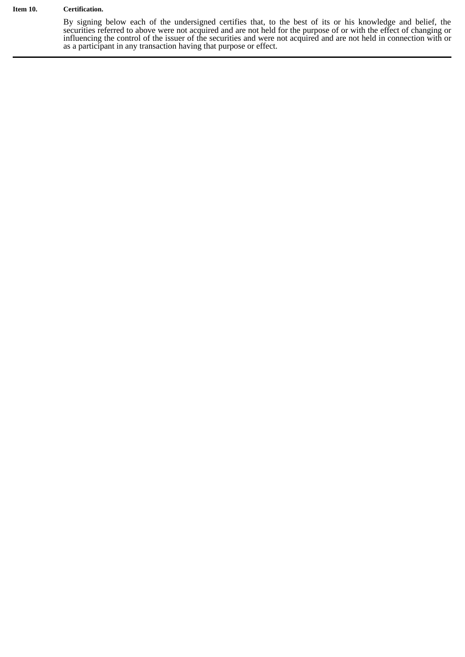#### **Item 10. Certification.**

By signing below each of the undersigned certifies that, to the best of its or his knowledge and belief, the securities referred to above were not acquired and are not held for the purpose of or with the effect of changing or influencing the control of the issuer of the securities and were not acquired and are not held in connection with or as a participant in any transaction having that purpose or effect.